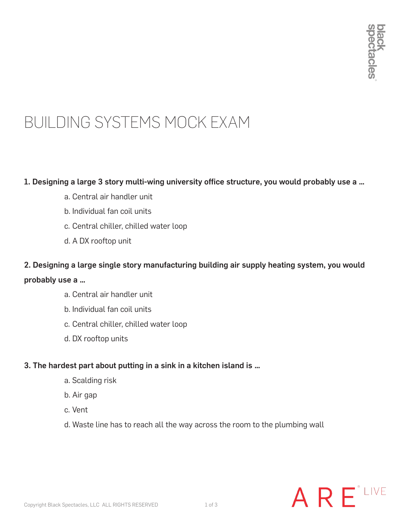### BUILDING SYSTEMS MOCK EXAM

#### 1. Designing a large 3 story multi-wing university office structure, you would probably use a …

- a. Central air handler unit
- b. Individual fan coil units
- c. Central chiller, chilled water loop
- d. A DX rooftop unit

2. Designing a large single story manufacturing building air supply heating system, you would probably use a …

- a. Central air handler unit
- b. Individual fan coil units
- c. Central chiller, chilled water loop
- d. DX rooftop units

#### 3. The hardest part about putting in a sink in a kitchen island is …

- a. Scalding risk
- b. Air gap
- c. Vent
- d. Waste line has to reach all the way across the room to the plumbing wall

## ARE<sup>\*LIVE</sup>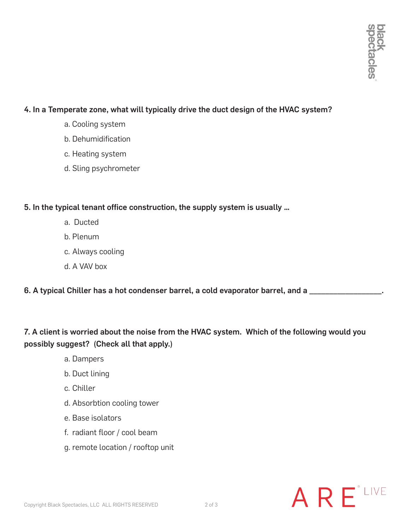#### 4. In a Temperate zone, what will typically drive the duct design of the HVAC system?

- a. Cooling system
- b. Dehumidification
- c. Heating system
- d. Sling psychrometer

#### 5. In the typical tenant office construction, the supply system is usually …

- a. Ducted
- b. Plenum
- c. Always cooling
- d. A VAV box
- 6. A typical Chiller has a hot condenser barrel, a cold evaporator barrel, and a \_\_\_\_\_\_\_\_\_\_\_

7. A client is worried about the noise from the HVAC system. Which of the following would you possibly suggest? (Check all that apply.)

- a. Dampers
- b. Duct lining
- c. Chiller
- d. Absorbtion cooling tower
- e. Base isolators
- f. radiant floor / cool beam
- g. remote location / rooftop unit

# ARE<sup>\*LIVE</sup>